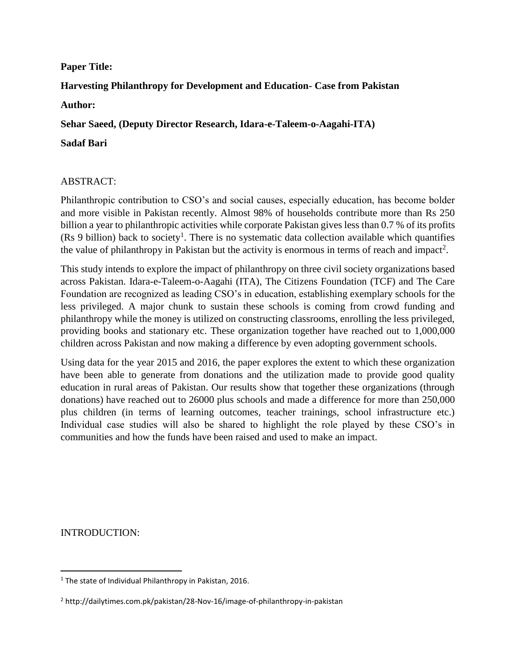#### **Paper Title:**

# **Harvesting Philanthropy for Development and Education- Case from Pakistan Author:**

**Sehar Saeed, (Deputy Director Research, Idara-e-Taleem-o-Aagahi-ITA)**

#### **Sadaf Bari**

### ABSTRACT:

Philanthropic contribution to CSO's and social causes, especially education, has become bolder and more visible in Pakistan recently. Almost 98% of households contribute more than Rs 250 billion a year to philanthropic activities while corporate Pakistan gives less than 0.7 % of its profits  $(Rs 9 billion)$  back to society<sup>1</sup>. There is no systematic data collection available which quantifies the value of philanthropy in Pakistan but the activity is enormous in terms of reach and impact<sup>2</sup>.

This study intends to explore the impact of philanthropy on three civil society organizations based across Pakistan. Idara-e-Taleem-o-Aagahi (ITA), The Citizens Foundation (TCF) and The Care Foundation are recognized as leading CSO's in education, establishing exemplary schools for the less privileged. A major chunk to sustain these schools is coming from crowd funding and philanthropy while the money is utilized on constructing classrooms, enrolling the less privileged, providing books and stationary etc. These organization together have reached out to 1,000,000 children across Pakistan and now making a difference by even adopting government schools.

Using data for the year 2015 and 2016, the paper explores the extent to which these organization have been able to generate from donations and the utilization made to provide good quality education in rural areas of Pakistan. Our results show that together these organizations (through donations) have reached out to 26000 plus schools and made a difference for more than 250,000 plus children (in terms of learning outcomes, teacher trainings, school infrastructure etc.) Individual case studies will also be shared to highlight the role played by these CSO's in communities and how the funds have been raised and used to make an impact.

INTRODUCTION:

 $\overline{\phantom{a}}$ 

<sup>&</sup>lt;sup>1</sup> The state of Individual Philanthropy in Pakistan, 2016.

<sup>2</sup> http://dailytimes.com.pk/pakistan/28-Nov-16/image-of-philanthropy-in-pakistan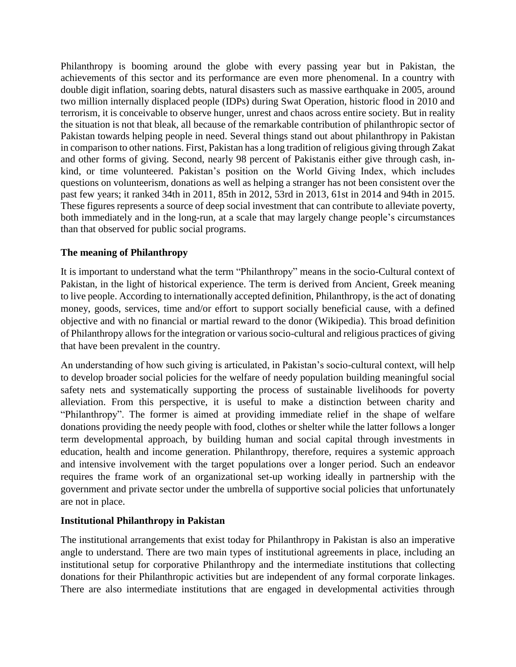Philanthropy is booming around the globe with every passing year but in Pakistan, the achievements of this sector and its performance are even more phenomenal. In a country with double digit inflation, soaring debts, natural disasters such as massive earthquake in 2005, around two million internally displaced people (IDPs) during Swat Operation, historic flood in 2010 and terrorism, it is conceivable to observe hunger, unrest and chaos across entire society. But in reality the situation is not that bleak, all because of the remarkable contribution of philanthropic sector of Pakistan towards helping people in need. Several things stand out about philanthropy in Pakistan in comparison to other nations. First, Pakistan has a long tradition of religious giving through Zakat and other forms of giving. Second, nearly 98 percent of Pakistanis either give through cash, inkind, or time volunteered. Pakistan's position on the World Giving Index, which includes questions on volunteerism, donations as well as helping a stranger has not been consistent over the past few years; it ranked 34th in 2011, 85th in 2012, 53rd in 2013, 61st in 2014 and 94th in 2015. These figures represents a source of deep social investment that can contribute to alleviate poverty, both immediately and in the long-run, at a scale that may largely change people's circumstances than that observed for public social programs.

## **The meaning of Philanthropy**

It is important to understand what the term "Philanthropy" means in the socio-Cultural context of Pakistan, in the light of historical experience. The term is derived from Ancient, Greek meaning to live people. According to internationally accepted definition, Philanthropy, is the act of donating money, goods, services, time and/or effort to support socially beneficial cause, with a defined objective and with no financial or martial reward to the donor (Wikipedia). This broad definition of Philanthropy allows for the integration or various socio-cultural and religious practices of giving that have been prevalent in the country.

An understanding of how such giving is articulated, in Pakistan's socio-cultural context, will help to develop broader social policies for the welfare of needy population building meaningful social safety nets and systematically supporting the process of sustainable livelihoods for poverty alleviation. From this perspective, it is useful to make a distinction between charity and "Philanthropy". The former is aimed at providing immediate relief in the shape of welfare donations providing the needy people with food, clothes or shelter while the latter follows a longer term developmental approach, by building human and social capital through investments in education, health and income generation. Philanthropy, therefore, requires a systemic approach and intensive involvement with the target populations over a longer period. Such an endeavor requires the frame work of an organizational set-up working ideally in partnership with the government and private sector under the umbrella of supportive social policies that unfortunately are not in place.

### **Institutional Philanthropy in Pakistan**

The institutional arrangements that exist today for Philanthropy in Pakistan is also an imperative angle to understand. There are two main types of institutional agreements in place, including an institutional setup for corporative Philanthropy and the intermediate institutions that collecting donations for their Philanthropic activities but are independent of any formal corporate linkages. There are also intermediate institutions that are engaged in developmental activities through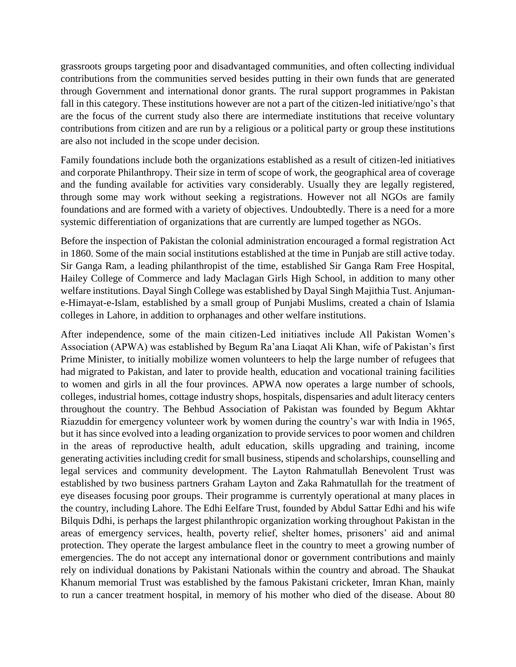grassroots groups targeting poor and disadvantaged communities, and often collecting individual contributions from the communities served besides putting in their own funds that are generated through Government and international donor grants. The rural support programmes in Pakistan fall in this category. These institutions however are not a part of the citizen-led initiative/ngo's that are the focus of the current study also there are intermediate institutions that receive voluntary contributions from citizen and are run by a religious or a political party or group these institutions are also not included in the scope under decision.

Family foundations include both the organizations established as a result of citizen-led initiatives and corporate Philanthropy. Their size in term of scope of work, the geographical area of coverage and the funding available for activities vary considerably. Usually they are legally registered, through some may work without seeking a registrations. However not all NGOs are family foundations and are formed with a variety of objectives. Undoubtedly. There is a need for a more systemic differentiation of organizations that are currently are lumped together as NGOs.

Before the inspection of Pakistan the colonial administration encouraged a formal registration Act in 1860. Some of the main social institutions established at the time in Punjab are still active today. Sir Ganga Ram, a leading philanthropist of the time, established Sir Ganga Ram Free Hospital, Hailey College of Commerce and lady Maclagan Girls High School, in addition to many other welfare institutions. Dayal Singh College was established by Dayal Singh Majithia Tust. Anjumane-Himayat-e-Islam, established by a small group of Punjabi Muslims, created a chain of Islamia colleges in Lahore, in addition to orphanages and other welfare institutions.

After independence, some of the main citizen-Led initiatives include All Pakistan Women's Association (APWA) was established by Begum Ra'ana Liaqat Ali Khan, wife of Pakistan's first Prime Minister, to initially mobilize women volunteers to help the large number of refugees that had migrated to Pakistan, and later to provide health, education and vocational training facilities to women and girls in all the four provinces. APWA now operates a large number of schools, colleges, industrial homes, cottage industry shops, hospitals, dispensaries and adult literacy centers throughout the country. The Behbud Association of Pakistan was founded by Begum Akhtar Riazuddin for emergency volunteer work by women during the country's war with India in 1965, but it has since evolved into a leading organization to provide services to poor women and children in the areas of reproductive health, adult education, skills upgrading and training, income generating activities including credit for small business, stipends and scholarships, counselling and legal services and community development. The Layton Rahmatullah Benevolent Trust was established by two business partners Graham Layton and Zaka Rahmatullah for the treatment of eye diseases focusing poor groups. Their programme is currentyly operational at many places in the country, including Lahore. The Edhi Eelfare Trust, founded by Abdul Sattar Edhi and his wife Bilquis Ddhi, is perhaps the largest philanthropic organization working throughout Pakistan in the areas of emergency services, health, poverty relief, shelter homes, prisoners' aid and animal protection. They operate the largest ambulance fleet in the country to meet a growing number of emergencies. The do not accept any international donor or government contributions and mainly rely on individual donations by Pakistani Nationals within the country and abroad. The Shaukat Khanum memorial Trust was established by the famous Pakistani cricketer, Imran Khan, mainly to run a cancer treatment hospital, in memory of his mother who died of the disease. About 80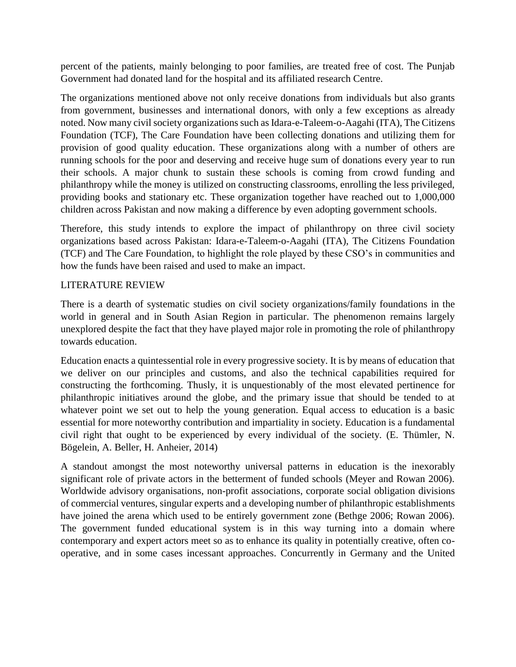percent of the patients, mainly belonging to poor families, are treated free of cost. The Punjab Government had donated land for the hospital and its affiliated research Centre.

The organizations mentioned above not only receive donations from individuals but also grants from government, businesses and international donors, with only a few exceptions as already noted. Now many civil society organizations such as Idara-e-Taleem-o-Aagahi (ITA), The Citizens Foundation (TCF), The Care Foundation have been collecting donations and utilizing them for provision of good quality education. These organizations along with a number of others are running schools for the poor and deserving and receive huge sum of donations every year to run their schools. A major chunk to sustain these schools is coming from crowd funding and philanthropy while the money is utilized on constructing classrooms, enrolling the less privileged, providing books and stationary etc. These organization together have reached out to 1,000,000 children across Pakistan and now making a difference by even adopting government schools.

Therefore, this study intends to explore the impact of philanthropy on three civil society organizations based across Pakistan: Idara-e-Taleem-o-Aagahi (ITA), The Citizens Foundation (TCF) and The Care Foundation, to highlight the role played by these CSO's in communities and how the funds have been raised and used to make an impact.

## LITERATURE REVIEW

There is a dearth of systematic studies on civil society organizations/family foundations in the world in general and in South Asian Region in particular. The phenomenon remains largely unexplored despite the fact that they have played major role in promoting the role of philanthropy towards education.

Education enacts a quintessential role in every progressive society. It is by means of education that we deliver on our principles and customs, and also the technical capabilities required for constructing the forthcoming. Thusly, it is unquestionably of the most elevated pertinence for philanthropic initiatives around the globe, and the primary issue that should be tended to at whatever point we set out to help the young generation. Equal access to education is a basic essential for more noteworthy contribution and impartiality in society. Education is a fundamental civil right that ought to be experienced by every individual of the society. (E. Thümler, N. Bögelein, A. Beller, H. Anheier, 2014)

A standout amongst the most noteworthy universal patterns in education is the inexorably significant role of private actors in the betterment of funded schools (Meyer and Rowan 2006). Worldwide advisory organisations, non-profit associations, corporate social obligation divisions of commercial ventures, singular experts and a developing number of philanthropic establishments have joined the arena which used to be entirely government zone (Bethge 2006; Rowan 2006). The government funded educational system is in this way turning into a domain where contemporary and expert actors meet so as to enhance its quality in potentially creative, often cooperative, and in some cases incessant approaches. Concurrently in Germany and the United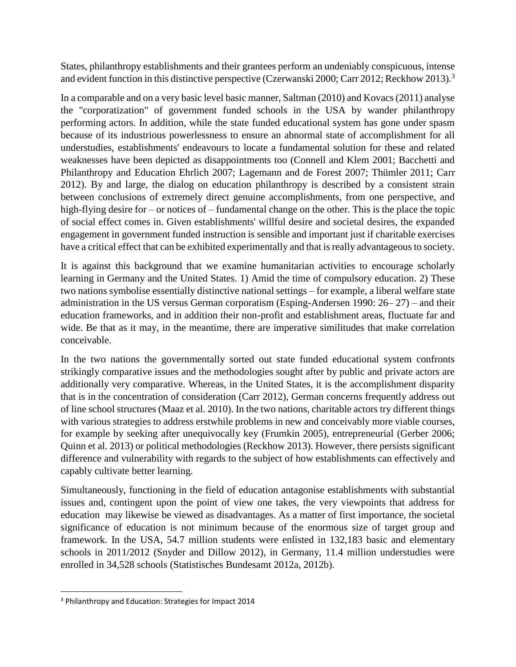States, philanthropy establishments and their grantees perform an undeniably conspicuous, intense and evident function in this distinctive perspective (Czerwanski 2000; Carr 2012; Reckhow 2013).<sup>3</sup>

In a comparable and on a very basic level basic manner, Saltman (2010) and Kovacs (2011) analyse the "corporatization" of government funded schools in the USA by wander philanthropy performing actors. In addition, while the state funded educational system has gone under spasm because of its industrious powerlessness to ensure an abnormal state of accomplishment for all understudies, establishments' endeavours to locate a fundamental solution for these and related weaknesses have been depicted as disappointments too (Connell and Klem 2001; Bacchetti and Philanthropy and Education Ehrlich 2007; Lagemann and de Forest 2007; Thümler 2011; Carr 2012). By and large, the dialog on education philanthropy is described by a consistent strain between conclusions of extremely direct genuine accomplishments, from one perspective, and high-flying desire for – or notices of – fundamental change on the other. This is the place the topic of social effect comes in. Given establishments' willful desire and societal desires, the expanded engagement in government funded instruction is sensible and important just if charitable exercises have a critical effect that can be exhibited experimentally and that is really advantageous to society.

It is against this background that we examine humanitarian activities to encourage scholarly learning in Germany and the United States. 1) Amid the time of compulsory education. 2) These two nations symbolise essentially distinctive national settings – for example, a liberal welfare state administration in the US versus German corporatism (Esping-Andersen 1990: 26– 27) – and their education frameworks, and in addition their non-profit and establishment areas, fluctuate far and wide. Be that as it may, in the meantime, there are imperative similitudes that make correlation conceivable.

In the two nations the governmentally sorted out state funded educational system confronts strikingly comparative issues and the methodologies sought after by public and private actors are additionally very comparative. Whereas, in the United States, it is the accomplishment disparity that is in the concentration of consideration (Carr 2012), German concerns frequently address out of line school structures (Maaz et al. 2010). In the two nations, charitable actors try different things with various strategies to address erstwhile problems in new and conceivably more viable courses, for example by seeking after unequivocally key (Frumkin 2005), entrepreneurial (Gerber 2006; Quinn et al. 2013) or political methodologies (Reckhow 2013). However, there persists significant difference and vulnerability with regards to the subject of how establishments can effectively and capably cultivate better learning.

Simultaneously, functioning in the field of education antagonise establishments with substantial issues and, contingent upon the point of view one takes, the very viewpoints that address for education may likewise be viewed as disadvantages. As a matter of first importance, the societal significance of education is not minimum because of the enormous size of target group and framework. In the USA, 54.7 million students were enlisted in 132,183 basic and elementary schools in 2011/2012 (Snyder and Dillow 2012), in Germany, 11.4 million understudies were enrolled in 34,528 schools (Statistisches Bundesamt 2012a, 2012b).

 $\overline{\phantom{a}}$ 

<sup>3</sup> Philanthropy and Education: Strategies for Impact 2014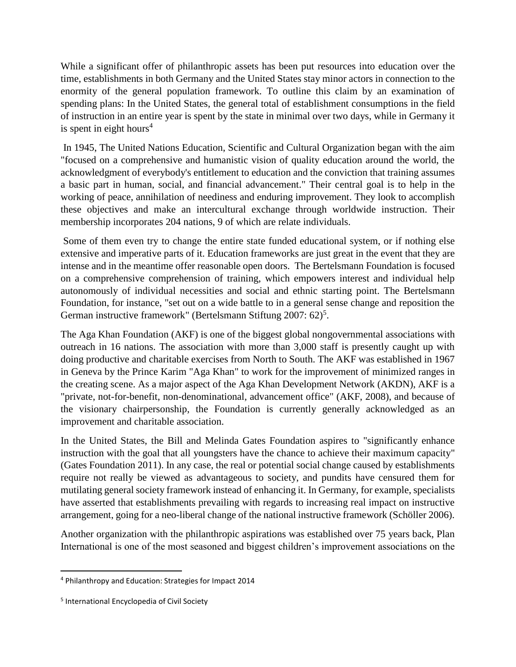While a significant offer of philanthropic assets has been put resources into education over the time, establishments in both Germany and the United States stay minor actors in connection to the enormity of the general population framework. To outline this claim by an examination of spending plans: In the United States, the general total of establishment consumptions in the field of instruction in an entire year is spent by the state in minimal over two days, while in Germany it is spent in eight hours<sup>4</sup>

In 1945, The United Nations Education, Scientific and Cultural Organization began with the aim "focused on a comprehensive and humanistic vision of quality education around the world, the acknowledgment of everybody's entitlement to education and the conviction that training assumes a basic part in human, social, and financial advancement." Their central goal is to help in the working of peace, annihilation of neediness and enduring improvement. They look to accomplish these objectives and make an intercultural exchange through worldwide instruction. Their membership incorporates 204 nations, 9 of which are relate individuals.

Some of them even try to change the entire state funded educational system, or if nothing else extensive and imperative parts of it. Education frameworks are just great in the event that they are intense and in the meantime offer reasonable open doors. The Bertelsmann Foundation is focused on a comprehensive comprehension of training, which empowers interest and individual help autonomously of individual necessities and social and ethnic starting point. The Bertelsmann Foundation, for instance, "set out on a wide battle to in a general sense change and reposition the German instructive framework" (Bertelsmann Stiftung 2007: 62)<sup>5</sup>.

The Aga Khan Foundation (AKF) is one of the biggest global nongovernmental associations with outreach in 16 nations. The association with more than 3,000 staff is presently caught up with doing productive and charitable exercises from North to South. The AKF was established in 1967 in Geneva by the Prince Karim "Aga Khan" to work for the improvement of minimized ranges in the creating scene. As a major aspect of the Aga Khan Development Network (AKDN), AKF is a "private, not-for-benefit, non-denominational, advancement office" (AKF, 2008), and because of the visionary chairpersonship, the Foundation is currently generally acknowledged as an improvement and charitable association.

In the United States, the Bill and Melinda Gates Foundation aspires to "significantly enhance instruction with the goal that all youngsters have the chance to achieve their maximum capacity" (Gates Foundation 2011). In any case, the real or potential social change caused by establishments require not really be viewed as advantageous to society, and pundits have censured them for mutilating general society framework instead of enhancing it. In Germany, for example, specialists have asserted that establishments prevailing with regards to increasing real impact on instructive arrangement, going for a neo-liberal change of the national instructive framework (Schöller 2006).

Another organization with the philanthropic aspirations was established over 75 years back, Plan International is one of the most seasoned and biggest children's improvement associations on the

 $\overline{\phantom{a}}$ 

<sup>4</sup> Philanthropy and Education: Strategies for Impact 2014

<sup>&</sup>lt;sup>5</sup> International Encyclopedia of Civil Society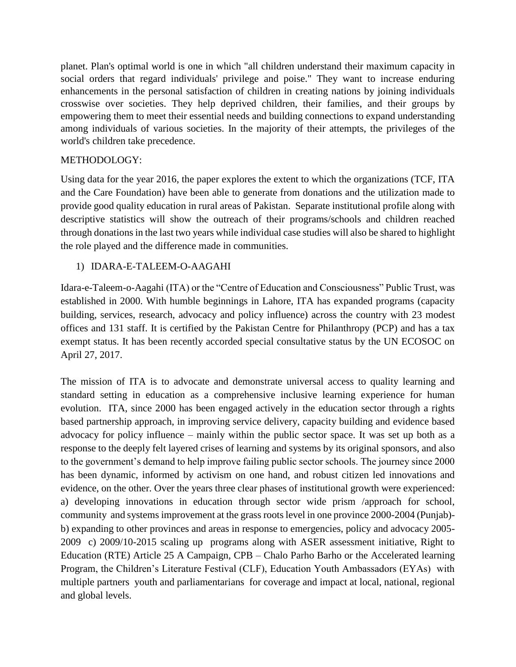planet. Plan's optimal world is one in which "all children understand their maximum capacity in social orders that regard individuals' privilege and poise." They want to increase enduring enhancements in the personal satisfaction of children in creating nations by joining individuals crosswise over societies. They help deprived children, their families, and their groups by empowering them to meet their essential needs and building connections to expand understanding among individuals of various societies. In the majority of their attempts, the privileges of the world's children take precedence.

## METHODOLOGY:

Using data for the year 2016, the paper explores the extent to which the organizations (TCF, ITA and the Care Foundation) have been able to generate from donations and the utilization made to provide good quality education in rural areas of Pakistan. Separate institutional profile along with descriptive statistics will show the outreach of their programs/schools and children reached through donations in the last two years while individual case studies will also be shared to highlight the role played and the difference made in communities.

# 1) IDARA-E-TALEEM-O-AAGAHI

Idara-e-Taleem-o-Aagahi (ITA) or the "Centre of Education and Consciousness" Public Trust, was established in 2000. With humble beginnings in Lahore, ITA has expanded programs (capacity building, services, research, advocacy and policy influence) across the country with 23 modest offices and 131 staff. It is certified by the Pakistan Centre for Philanthropy (PCP) and has a tax exempt status. It has been recently accorded special consultative status by the UN ECOSOC on April 27, 2017.

The mission of ITA is to advocate and demonstrate universal access to quality learning and standard setting in education as a comprehensive inclusive learning experience for human evolution. ITA, since 2000 has been engaged actively in the education sector through a rights based partnership approach, in improving service delivery, capacity building and evidence based advocacy for policy influence – mainly within the public sector space. It was set up both as a response to the deeply felt layered crises of learning and systems by its original sponsors, and also to the government's demand to help improve failing public sector schools. The journey since 2000 has been dynamic, informed by activism on one hand, and robust citizen led innovations and evidence, on the other. Over the years three clear phases of institutional growth were experienced: a) developing innovations in education through sector wide prism /approach for school, community and systems improvement at the grass roots level in one province 2000-2004 (Punjab) b) expanding to other provinces and areas in response to emergencies, policy and advocacy 2005- 2009 c) 2009/10-2015 scaling up programs along with ASER assessment initiative, Right to Education (RTE) Article 25 A Campaign, CPB – Chalo Parho Barho or the Accelerated learning Program, the Children's Literature Festival (CLF), Education Youth Ambassadors (EYAs) with multiple partners youth and parliamentarians for coverage and impact at local, national, regional and global levels.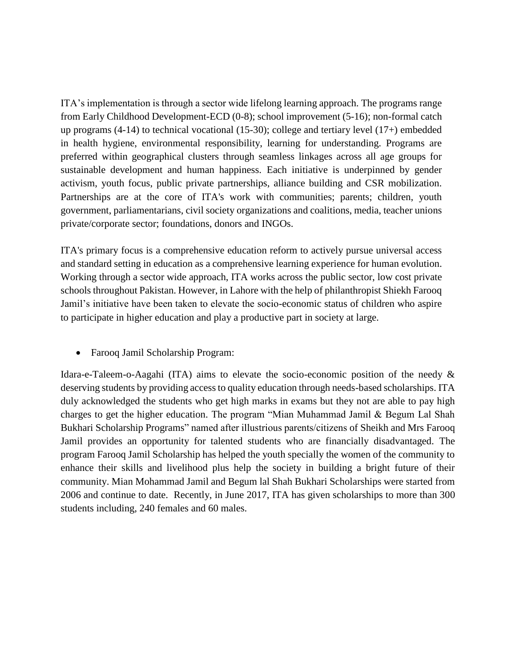ITA's implementation is through a sector wide lifelong learning approach. The programs range from Early Childhood Development-ECD (0-8); school improvement (5-16); non-formal catch up programs (4-14) to technical vocational (15-30); college and tertiary level (17+) embedded in health hygiene, environmental responsibility, learning for understanding. Programs are preferred within geographical clusters through seamless linkages across all age groups for sustainable development and human happiness. Each initiative is underpinned by gender activism, youth focus, public private partnerships, alliance building and CSR mobilization. Partnerships are at the core of ITA's work with communities; parents; children, youth government, parliamentarians, civil society organizations and coalitions, media, teacher unions private/corporate sector; foundations, donors and INGOs.

ITA's primary focus is a comprehensive education reform to actively pursue universal access and standard setting in education as a comprehensive learning experience for human evolution. Working through a sector wide approach, ITA works across the public sector, low cost private schools throughout Pakistan. However, in Lahore with the help of philanthropist Shiekh Farooq Jamil's initiative have been taken to elevate the socio-economic status of children who aspire to participate in higher education and play a productive part in society at large.

Farooq Jamil Scholarship Program:

Idara-e-Taleem-o-Aagahi (ITA) aims to elevate the socio-economic position of the needy & deserving students by providing access to quality education through needs-based scholarships. ITA duly acknowledged the students who get high marks in exams but they not are able to pay high charges to get the higher education. The program "Mian Muhammad Jamil & Begum Lal Shah Bukhari Scholarship Programs" named after illustrious parents/citizens of Sheikh and Mrs Farooq Jamil provides an opportunity for talented students who are financially disadvantaged. The program Farooq Jamil Scholarship has helped the youth specially the women of the community to enhance their skills and livelihood plus help the society in building a bright future of their community. Mian Mohammad Jamil and Begum lal Shah Bukhari Scholarships were started from 2006 and continue to date. Recently, in June 2017, ITA has given scholarships to more than 300 students including, 240 females and 60 males.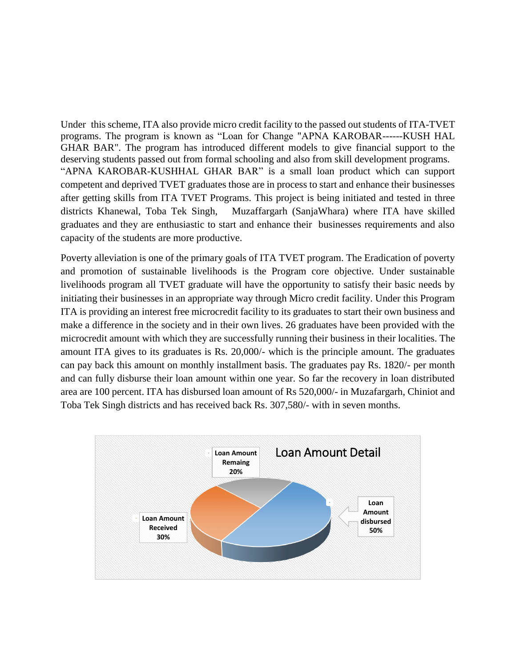Under this scheme, ITA also provide micro credit facility to the passed out students of ITA-TVET programs. The program is known as "Loan for Change "APNA KAROBAR------KUSH HAL GHAR BAR". The program has introduced different models to give financial support to the deserving students passed out from formal schooling and also from skill development programs. "APNA KAROBAR-KUSHHAL GHAR BAR" is a small loan product which can support competent and deprived TVET graduates those are in process to start and enhance their businesses after getting skills from ITA TVET Programs. This project is being initiated and tested in three districts Khanewal, Toba Tek Singh, Muzaffargarh (SanjaWhara) where ITA have skilled graduates and they are enthusiastic to start and enhance their businesses requirements and also capacity of the students are more productive.

Poverty alleviation is one of the primary goals of ITA TVET program. The Eradication of poverty and promotion of sustainable livelihoods is the Program core objective. Under sustainable livelihoods program all TVET graduate will have the opportunity to satisfy their basic needs by initiating their businesses in an appropriate way through Micro credit facility. Under this Program ITA is providing an interest free microcredit facility to its graduates to start their own business and make a difference in the society and in their own lives. 26 graduates have been provided with the microcredit amount with which they are successfully running their business in their localities. The amount ITA gives to its graduates is Rs. 20,000/- which is the principle amount. The graduates can pay back this amount on monthly installment basis. The graduates pay Rs. 1820/- per month and can fully disburse their loan amount within one year. So far the recovery in loan distributed area are 100 percent. ITA has disbursed loan amount of Rs 520,000/- in Muzafargarh, Chiniot and Toba Tek Singh districts and has received back Rs. 307,580/- with in seven months.

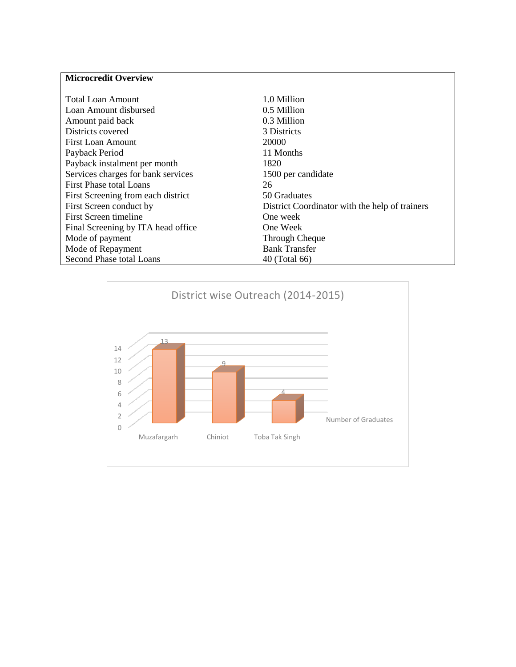# **Microcredit Overview**

| <b>Total Loan Amount</b>           | 1.0 Million                                    |
|------------------------------------|------------------------------------------------|
| Loan Amount disbursed              | 0.5 Million                                    |
| Amount paid back                   | 0.3 Million                                    |
| Districts covered                  | 3 Districts                                    |
| First Loan Amount                  | 20000                                          |
| Payback Period                     | 11 Months                                      |
| Payback instalment per month       | 1820                                           |
| Services charges for bank services | 1500 per candidate                             |
| <b>First Phase total Loans</b>     | 26                                             |
| First Screening from each district | 50 Graduates                                   |
| First Screen conduct by            | District Coordinator with the help of trainers |
| First Screen timeline              | One week                                       |
| Final Screening by ITA head office | One Week                                       |
| Mode of payment                    | Through Cheque                                 |
| Mode of Repayment                  | <b>Bank Transfer</b>                           |
| Second Phase total Loans           | 40 (Total 66)                                  |

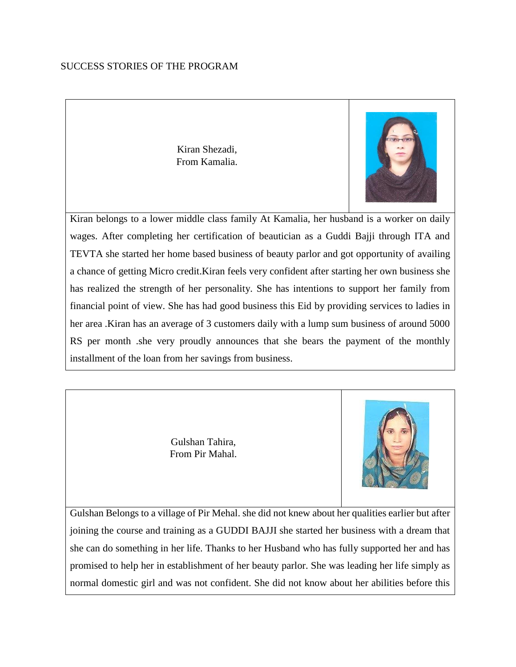#### SUCCESS STORIES OF THE PROGRAM

Kiran Shezadi, From Kamalia.



Kiran belongs to a lower middle class family At Kamalia, her husband is a worker on daily wages. After completing her certification of beautician as a Guddi Bajji through ITA and TEVTA she started her home based business of beauty parlor and got opportunity of availing a chance of getting Micro credit.Kiran feels very confident after starting her own business she has realized the strength of her personality. She has intentions to support her family from financial point of view. She has had good business this Eid by providing services to ladies in her area .Kiran has an average of 3 customers daily with a lump sum business of around 5000 RS per month .she very proudly announces that she bears the payment of the monthly installment of the loan from her savings from business.

> Gulshan Tahira, From Pir Mahal.



Gulshan Belongs to a village of Pir Mehal. she did not knew about her qualities earlier but after joining the course and training as a GUDDI BAJJI she started her business with a dream that she can do something in her life. Thanks to her Husband who has fully supported her and has promised to help her in establishment of her beauty parlor. She was leading her life simply as normal domestic girl and was not confident. She did not know about her abilities before this